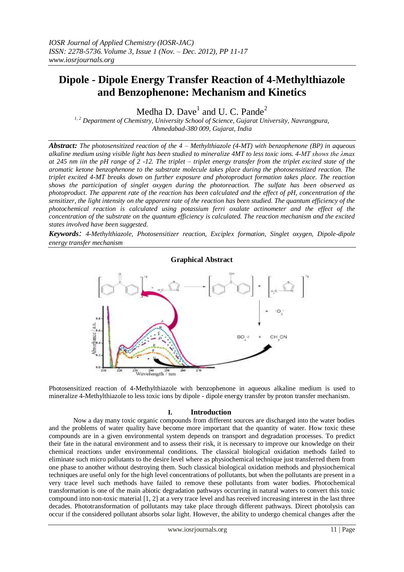# **Dipole - Dipole Energy Transfer Reaction of 4-Methylthiazole and Benzophenone: Mechanism and Kinetics**

Medha D. Dave $^1$  and U. C. Pande<sup>2</sup>

*1, <sup>2</sup> Department of Chemistry, University School of Science, Gujarat University, Navrangpura, Ahmedabad-380 009, Gujarat, India*

*Abstract: The photosensitized reaction of the 4 – Methylthiazole (4-MT) with benzophenone (BP) in aqueous alkaline medium using visible light has been studied to mineralize 4MT to less toxic ions. 4-MT shows the λmax at 245 nm iin the pH range of 2 -12. The triplet – triplet energy transfer from the triplet excited state of the aromatic ketone benzophenone to the substrate molecule takes place during the photosensitized reaction. The triplet excited 4-MT breaks down on further exposure and photoproduct formation takes place. The reaction shows the participation of singlet oxygen during the photoreaction. The sulfate has been observed as photoproduct. The apparent rate of the reaction has been calculated and the effect of pH, concentration of the sensitizer, the light intensity on the apparent rate of the reaction has been studied. The quantum efficiency of the photochemical reaction is calculated using potassium ferri oxalate actinometer and the effect of the concentration of the substrate on the quantum efficiency is calculated. The reaction mechanism and the excited states involved have been suggested.*

*Keywords: 4-Methylthiazole, Photosensitizer reaction, Exciplex formation, Singlet oxygen, Dipole-dipole energy transfer mechanism*



Photosensitized reaction of 4-Methylthiazole with benzophenone in aqueous alkaline medium is used to mineralize 4-Methylthiazole to less toxic ions by dipole - dipole energy transfer by proton transfer mechanism.

# **I. Introduction**

Now a day many toxic organic compounds from different sources are discharged into the water bodies and the problems of water quality have become more important that the quantity of water. How toxic these compounds are in a given environmental system depends on transport and degradation processes. To predict their fate in the natural environment and to assess their risk, it is necessary to improve our knowledge on their chemical reactions under environmental conditions. The classical biological oxidation methods failed to eliminate such micro pollutants to the desire level where as physiochemical technique just transferred them from one phase to another without destroying them. Such classical biological oxidation methods and physiochemical techniques are useful only for the high level concentrations of pollutants, but when the pollutants are present in a very trace level such methods have failed to remove these pollutants from water bodies. Photochemical transformation is one of the main abiotic degradation pathways occurring in natural waters to convert this toxic compound into non-toxic material [1, 2] at a very trace level and has received increasing interest in the last three decades. Phototransformation of pollutants may take place through different pathways. Direct photolysis can occur if the considered pollutant absorbs solar light. However, the ability to undergo chemical changes after the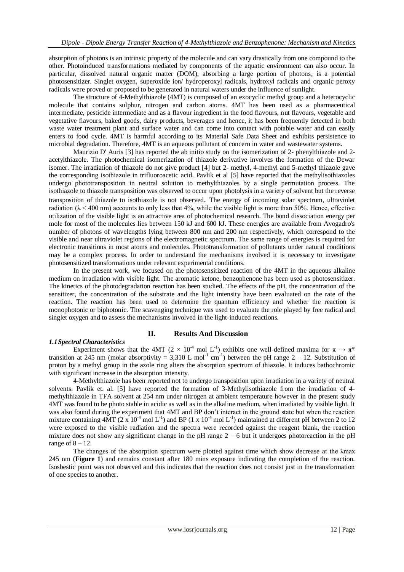absorption of photons is an intrinsic property of the molecule and can vary drastically from one compound to the other. Photoinduced transformations mediated by components of the aquatic environment can also occur. In particular, dissolved natural organic matter (DOM), absorbing a large portion of photons, is a potential photosensitizer. Singlet oxygen, superoxide ion/ hydroperoxyl radicals, hydroxyl radicals and organic peroxy radicals were proved or proposed to be generated in natural waters under the influence of sunlight.

The structure of 4-Methylthiazole (4MT) is composed of an exocyclic methyl group and a heterocyclic molecule that contains sulphur, nitrogen and carbon atoms. 4MT has been used as a pharmaceutical intermediate, pesticide intermediate and as a flavour ingredient in the food flavours, nut flavours, vegetable and vegetative flavours, baked goods, dairy products, beverages and hence, it has been frequently detected in both waste water treatment plant and surface water and can come into contact with potable water and can easily enters to food cycle. 4MT is harmful according to its Material Safe Data Sheet and exhibits persistence to microbial degradation. Therefore, 4MT is an aqueous pollutant of concern in water and wastewater systems.

Maurizio D' Auris [3] has reported the ab initio study on the isomerization of 2- phenylthiazole and 2 acetylthiazole. The photochemical isomerization of thiazole derivative involves the formation of the Dewar isomer. The irradiation of thiazole do not give product [4] but 2- methyl, 4-methyl and 5-methyl thiazole gave the corresponding isothiazole in trifluoroacetic acid. Pavlik et al [5] have reported that the methylisothiazoles undergo phototransposition in neutral solution to methylthiazoles by a single permutation process. The isothiazole to thiazole transposition was observed to occur upon photolysis in a variety of solvent but the reverse transposition of thiazole to isothiazole is not observed. The energy of incoming solar spectrum, ultraviolet radiation ( $\lambda$  < 400 nm) accounts to only less that 4%, while the visible light is more than 50%. Hence, effective utilization of the visible light is an attractive area of photochemical research. The bond dissociation energy per mole for most of the molecules lies between 150 kJ and 600 kJ. These energies are available from Avogadro's number of photons of wavelengths lying between 800 nm and 200 nm respectively, which correspond to the visible and near ultraviolet regions of the electromagnetic spectrum. The same range of energies is required for electronic transitions in most atoms and molecules. Phototransformation of pollutants under natural conditions may be a complex process. In order to understand the mechanisms involved it is necessary to investigate photosensitized transformations under relevant experimental conditions.

In the present work, we focused on the photosensitized reaction of the 4MT in the aqueous alkaline medium on irradiation with visible light. The aromatic ketone, benzophenone has been used as photosensitizer. The kinetics of the photodegradation reaction has been studied. The effects of the pH, the concentration of the sensitizer, the concentration of the substrate and the light intensity have been evaluated on the rate of the reaction. The reaction has been used to determine the quantum efficiency and whether the reaction is monophotonic or biphotonic. The scavenging technique was used to evaluate the role played by free radical and singlet oxygen and to assess the mechanisms involved in the light-induced reactions.

## **II. Results And Discussion**

#### *1.1Spectral Characteristics*

Experiment shows that the 4MT (2  $\times$  10<sup>-4</sup> mol L<sup>-1</sup>) exhibits one well-defined maxima for  $\pi \to \pi^*$ transition at 245 nm (molar absorptivity = 3,310 L mol<sup>-1</sup> cm<sup>-1</sup>) between the pH range 2 – 12. Substitution of proton by a methyl group in the azole ring alters the absorption spectrum of thiazole. It induces bathochromic with significant increase in the absorption intensity.

4-Methylthiazole has been reported not to undergo transposition upon irradiation in a variety of neutral solvents. Pavlik et. al. [5] have reported the formation of 3-Methylisothiazole from the irradiation of 4 methylthiazole in TFA solvent at 254 nm under nitrogen at ambient temperature however in the present study 4MT was found to be photo stable in acidic as well as in the alkaline medium, when irradiated by visible light. It was also found during the experiment that 4MT and BP don't interact in the ground state but when the reaction mixture containing  $4MT$  (2 x 10<sup>-4</sup> mol L<sup>-1</sup>) and BP (1 x 10<sup>-4</sup> mol L<sup>-1</sup>) maintained at different pH between 2 to 12 were exposed to the visible radiation and the spectra were recorded against the reagent blank, the reaction mixture does not show any significant change in the pH range  $2 - 6$  but it undergoes photoreaction in the pH range of  $8 - 12$ .

The changes of the absorption spectrum were plotted against time which show decrease at the λmax 245 nm (**Figure 1**) and remains constant after 180 mins exposure indicating the completion of the reaction. Isosbestic point was not observed and this indicates that the reaction does not consist just in the transformation of one species to another.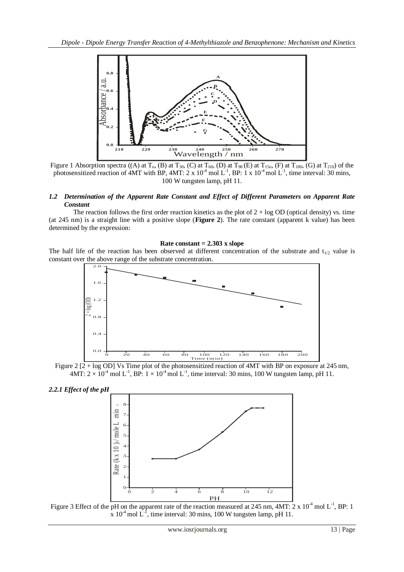

Figure 1 Absorption spectra ((A) at T<sub>0</sub>, (B) at T<sub>30</sub>, (C) at T<sub>60</sub>, (D) at T<sub>90</sub> (E) at T<sub>150</sub>, (F) at T<sub>180</sub>, (G) at T<sub>210</sub>) of the photosensitized reaction of 4MT with BP, 4MT:  $2 \times 10^{-4}$  mol L<sup>-1</sup>, BP: 1 x 10<sup>-4</sup> mol L<sup>-1</sup>, time interval: 30 mins, 100 W tungsten lamp, pH 11.

## *1.2 Determination of the Apparent Rate Constant and Effect of Different Parameters on Apparent Rate Constant*

The reaction follows the first order reaction kinetics as the plot of  $2 + \log OD$  (optical density) vs. time (at 245 nm) is a straight line with a positive slope (**Figure 2**). The rate constant (apparent k value) has been determined by the expression:

#### **Rate constant = 2.303 x slope**

The half life of the reaction has been observed at different concentration of the substrate and  $t_{1/2}$  value is constant over the above range of the substrate concentration.



Figure 2 [2 + log OD] Vs Time plot of the photosensitized reaction of 4MT with BP on exposure at 245 nm,  $4MT: 2 \times 10^{-4}$  mol L<sup>-1</sup>, BP:  $1 \times 10^{-4}$  mol L<sup>-1</sup>, time interval: 30 mins, 100 W tungsten lamp, pH 11.





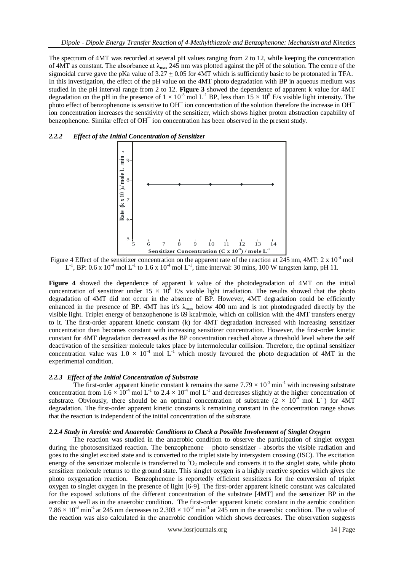The spectrum of 4MT was recorded at several pH values ranging from 2 to 12, while keeping the concentration of 4MT as constant. The absorbance at  $\lambda_{\text{max}}$  245 nm was plotted against the pH of the solution. The centre of the sigmoidal curve gave the pKa value of  $3.27 + 0.05$  for 4MT which is sufficiently basic to be protonated in TFA. In this investigation, the effect of the pH value on the 4MT photo degradation with BP in aqueous medium was studied in the pH interval range from 2 to 12. **Figure 3** showed the dependence of apparent k value for 4MT degradation on the pH in the presence of  $1 \times 10^{-5}$  mol L<sup>-1</sup> BP, less than  $15 \times 10^8$  E/s visible light intensity. The photo effect of benzophenone is sensitive to OH<sup> $-$ </sup> ion concentration of the solution therefore the increase in OH<sup> $-$ </sup> ion concentration increases the sensitivity of the sensitizer, which shows higher proton abstraction capability of benzophenone. Similar effect of OH<sup>-</sup> ion concentration has been observed in the present study.



### *2.2.2 Effect of the Initial Concentration of Sensitizer*

Figure 4 Effect of the sensitizer concentration on the apparent rate of the reaction at 245 nm, 4MT:  $2 \times 10^{-4}$  mol  $L^{-1}$ , BP: 0.6 x 10<sup>-4</sup> mol  $L^{-1}$  to 1.6 x 10<sup>-4</sup> mol  $L^{-1}$ , time interval: 30 mins, 100 W tungsten lamp, pH 11.

**Figure 4** showed the dependence of apparent k value of the photodegradation of 4MT on the initial concentration of sensitizer under  $15 \times 10^8$  E/s visible light irradiation. The results showed that the photo degradation of 4MT did not occur in the absence of BP. However, 4MT degradation could be efficiently enhanced in the presence of BP. 4MT has it's  $\lambda_{\text{max}}$  below 400 nm and is not photodegraded directly by the visible light. Triplet energy of benzophenone is 69 kcal/mole, which on collision with the 4MT transfers energy to it. The first-order apparent kinetic constant (k) for 4MT degradation increased with increasing sensitizer concentration then becomes constant with increasing sensitizer concentration. However, the first-order kinetic constant for 4MT degradation decreased as the BP concentration reached above a threshold level where the self deactivation of the sensitizer molecule takes place by intermolecular collision. Therefore, the optimal sensitizer concentration value was  $1.0 \times 10^{-4}$  mol L<sup>-1</sup> which mostly favoured the photo degradation of 4MT in the experimental condition.

#### *2.2.3 Effect of the Initial Concentration of Substrate*

The first-order apparent kinetic constant k remains the same  $7.79 \times 10^{-3}$  min<sup>-1</sup> with increasing substrate concentration from  $1.6 \times 10^{-4}$  mol L<sup>-1</sup> to  $2.4 \times 10^{-4}$  mol L<sup>-1</sup> and decreases slightly at the higher concentration of substrate. Obviously, there should be an optimal concentration of substrate  $(2 \times 10^{4} \text{ mol L}^{-1})$  for 4MT degradation. The first-order apparent kinetic constants k remaining constant in the concentration range shows that the reaction is independent of the initial concentration of the substrate.

#### *2.2.4 Study in Aerobic and Anaerobic Conditions to Check a Possible Involvement of Singlet Oxygen*

The reaction was studied in the anaerobic condition to observe the participation of singlet oxygen during the photosensitized reaction. The benzophenone – photo sensitizer - absorbs the visible radiation and goes to the singlet excited state and is converted to the triplet state by intersystem crossing (ISC). The excitation energy of the sensitizer molecule is transferred to  ${}^{3}O_{2}$  molecule and converts it to the singlet state, while photo sensitizer molecule returns to the ground state. This singlet oxygen is a highly reactive species which gives the photo oxygenation reaction. Benzophenone is reportedly efficient sensitizers for the conversion of triplet oxygen to singlet oxygen in the presence of light [6-9]. The first-order apparent kinetic constant was calculated for the exposed solutions of the different concentration of the substrate [4MT] and the sensitizer BP in the aerobic as well as in the anaerobic condition. The first-order apparent kinetic constant in the aerobic condition  $7.86 \times 10^{-3}$  min<sup>-1</sup> at 245 nm decreases to  $2.303 \times 10^{-3}$  min<sup>-1</sup> at  $24\overline{5}$  nm in the anaerobic condition. The  $\varphi$  value of the reaction was also calculated in the anaerobic condition which shows decreases. The observation suggests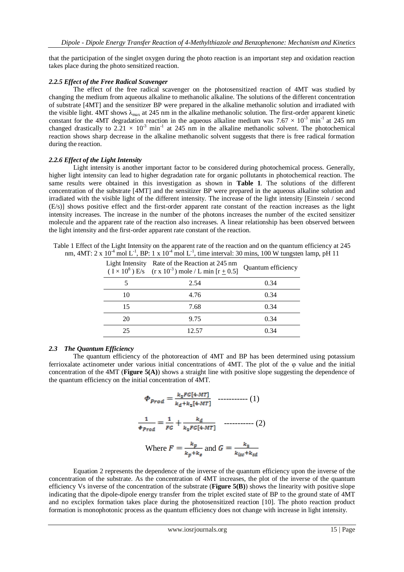that the participation of the singlet oxygen during the photo reaction is an important step and oxidation reaction takes place during the photo sensitized reaction.

## *2.2.5 Effect of the Free Radical Scavenger*

The effect of the free radical scavenger on the photosensitized reaction of 4MT was studied by changing the medium from aqueous alkaline to methanolic alkaline. The solutions of the different concentration of substrate [4MT] and the sensitizer BP were prepared in the alkaline methanolic solution and irradiated with the visible light.  $4MT$  shows  $\lambda_{max}$  at 245 nm in the alkaline methanolic solution. The first-order apparent kinetic constant for the 4MT degradation reaction in the aqueous alkaline medium was  $7.67 \times 10^{-3}$  min<sup>-1</sup> at 245 nm changed drastically to  $2.21 \times 10^{-3}$  min<sup>-1</sup> at 245 nm in the alkaline methanolic solvent. The photochemical reaction shows sharp decrease in the alkaline methanolic solvent suggests that there is free radical formation during the reaction.

## *2.2.6 Effect of the Light Intensity*

Light intensity is another important factor to be considered during photochemical process. Generally, higher light intensity can lead to higher degradation rate for organic pollutants in photochemical reaction. The same results were obtained in this investigation as shown in **Table 1**. The solutions of the different concentration of the substrate [4MT] and the sensitizer BP were prepared in the aqueous alkaline solution and irradiated with the visible light of the different intensity. The increase of the light intensity [Einstein / second (E/s)] shows positive effect and the first-order apparent rate constant of the reaction increases as the light intensity increases. The increase in the number of the photons increases the number of the excited sensitizer molecule and the apparent rate of the reaction also increases. A linear relationship has been observed between the light intensity and the first-order apparent rate constant of the reaction.

Table 1 Effect of the Light Intensity on the apparent rate of the reaction and on the quantum efficiency at 245 nm,  $4MT: 2 \times 10^{-4}$  mol L<sup>-1</sup>, BP: 1 x  $10^{-4}$  mol L<sup>-1</sup>, time interval: 30 mins, 100 W tungsten lamp, pH 11

|    | Light Intensity Rate of the Reaction at 245 nm<br>$(\overline{1} \times 10^8)$ E/s $(r \times 10^{-3})$ mole / L min $[r + 0.5]$ | Quantum efficiency |
|----|----------------------------------------------------------------------------------------------------------------------------------|--------------------|
|    | 2.54                                                                                                                             | 0.34               |
| 10 | 4.76                                                                                                                             | 0.34               |
| 15 | 7.68                                                                                                                             | 0.34               |
| 20 | 9.75                                                                                                                             | 0.34               |
| 25 | 12.57                                                                                                                            | 0.34               |

## *2.3 The Quantum Efficiency*

The quantum efficiency of the photoreaction of 4MT and BP has been determined using potassium ferrioxalate actinometer under various initial concentrations of 4MT. The plot of the φ value and the initial concentration of the 4MT (**Figure 5(A)**) shows a straight line with positive slope suggesting the dependence of the quantum efficiency on the initial concentration of 4MT.

$$
\Phi_{Prod} = \frac{k_2 F G [4-MT]}{k_d + k_2 [4-MT]} \quad \dots \dots \dots \dots \quad (1)
$$
\n
$$
\frac{1}{\Phi_{Prod}} = \frac{1}{FG} + \frac{k_d}{k_2 FG [4-MT]} \quad \dots \dots \dots \dots \dots \quad (2)
$$
\nWhere  $F = \frac{k_p}{k_p + k_g}$  and  $G = \frac{k_2}{k_{\text{isc}} + k_{\text{sd}}}$ 

 Equation 2 represents the dependence of the inverse of the quantum efficiency upon the inverse of the concentration of the substrate. As the concentration of 4MT increases, the plot of the inverse of the quantum efficiency Vs inverse of the concentration of the substrate (**Figure 5(B)**) shows the linearity with positive slope indicating that the dipole-dipole energy transfer from the triplet excited state of BP to the ground state of 4MT and no exciplex formation takes place during the photosensitized reaction [10]. The photo reaction product formation is monophotonic process as the quantum efficiency does not change with increase in light intensity.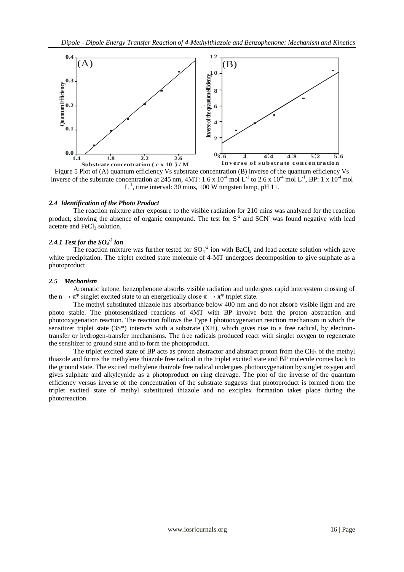

inverse of the substrate concentration at 245 nm, 4MT:  $1.6 \times 10^{-4}$  mol L<sup>-1</sup> to 2.6 x 10<sup>-4</sup> mol L<sup>-1</sup>, BP: 1 x 10<sup>-4</sup> mol  $L^{-1}$ , time interval: 30 mins, 100 W tungsten lamp, pH 11.

## *2.4 Identification of the Photo Product*

The reaction mixture after exposure to the visible radiation for 210 mins was analyzed for the reaction product, showing the absence of organic compound. The test for  $S<sup>2</sup>$  and SCN<sup>-</sup> was found negative with lead acetate and FeCl<sub>3</sub> solution.

# *2.4.1 Test for the SO<sup>4</sup> -2 ion*

The reaction mixture was further tested for  $SO_4^2$  ion with BaCl<sub>2</sub> and lead acetate solution which gave white precipitation. The triplet excited state molecule of 4-MT undergoes decomposition to give sulphate as a photoproduct.

## *2.5 Mechanism*

Aromatic ketone, benzophenone absorbs visible radiation and undergoes rapid intersystem crossing of the n  $\rightarrow \pi^*$  singlet excited state to an energetically close  $\pi \rightarrow \pi^*$  triplet state.

The methyl substituted thiazole has absorbance below 400 nm and do not absorb visible light and are photo stable. The photosensitized reactions of 4MT with BP involve both the proton abstraction and photooxygenation reaction. The reaction follows the Type I photooxygenation reaction mechanism in which the sensitizer triplet state  $(3S^*)$  interacts with a substrate  $(XH)$ , which gives rise to a free radical, by electrontransfer or hydrogen-transfer mechanisms. The free radicals produced react with singlet oxygen to regenerate the sensitizer to ground state and to form the photoproduct.

The triplet excited state of BP acts as proton abstractor and abstract proton from the  $CH_3$  of the methyl thiazole and forms the methylene thiazole free radical in the triplet excited state and BP molecule comes back to the ground state. The excited methylene thaizole free radical undergoes photooxygenation by singlet oxygen and gives sulphate and alkylcynide as a photoproduct on ring cleavage. The plot of the inverse of the quantum efficiency versus inverse of the concentration of the substrate suggests that photoproduct is formed from the triplet excited state of methyl substituted thiazole and no exciplex formation takes place during the photoreaction.